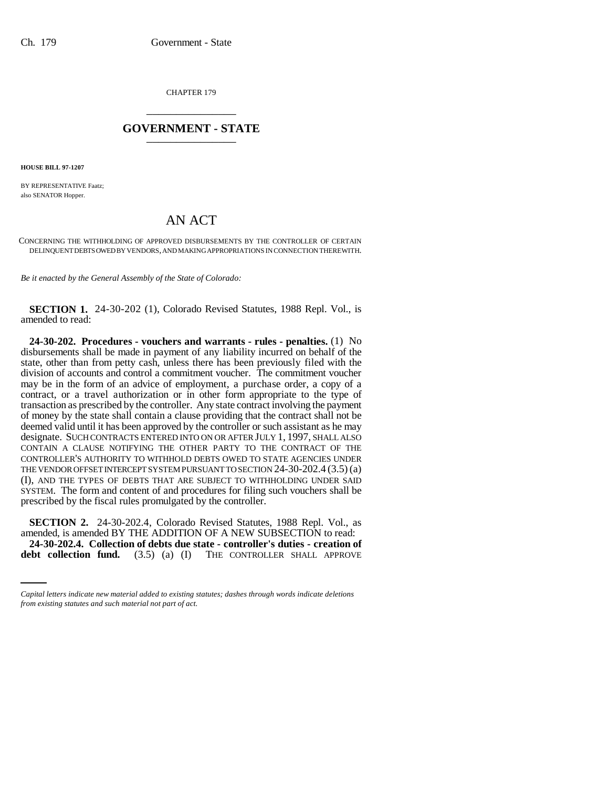CHAPTER 179 \_\_\_\_\_\_\_\_\_\_\_\_\_\_\_

## **GOVERNMENT - STATE** \_\_\_\_\_\_\_\_\_\_\_\_\_\_\_

**HOUSE BILL 97-1207**

BY REPRESENTATIVE Faatz; also SENATOR Hopper.

## AN ACT

CONCERNING THE WITHHOLDING OF APPROVED DISBURSEMENTS BY THE CONTROLLER OF CERTAIN DELINQUENT DEBTS OWED BY VENDORS, AND MAKING APPROPRIATIONS IN CONNECTION THEREWITH.

*Be it enacted by the General Assembly of the State of Colorado:*

**SECTION 1.** 24-30-202 (1), Colorado Revised Statutes, 1988 Repl. Vol., is amended to read:

**24-30-202. Procedures - vouchers and warrants - rules - penalties.** (1) No disbursements shall be made in payment of any liability incurred on behalf of the state, other than from petty cash, unless there has been previously filed with the division of accounts and control a commitment voucher. The commitment voucher may be in the form of an advice of employment, a purchase order, a copy of a contract, or a travel authorization or in other form appropriate to the type of transaction as prescribed by the controller. Any state contract involving the payment of money by the state shall contain a clause providing that the contract shall not be deemed valid until it has been approved by the controller or such assistant as he may designate. SUCH CONTRACTS ENTERED INTO ON OR AFTER JULY 1, 1997, SHALL ALSO CONTAIN A CLAUSE NOTIFYING THE OTHER PARTY TO THE CONTRACT OF THE CONTROLLER'S AUTHORITY TO WITHHOLD DEBTS OWED TO STATE AGENCIES UNDER THE VENDOR OFFSET INTERCEPT SYSTEM PURSUANT TO SECTION 24-30-202.4 (3.5) (a) (I), AND THE TYPES OF DEBTS THAT ARE SUBJECT TO WITHHOLDING UNDER SAID SYSTEM. The form and content of and procedures for filing such vouchers shall be prescribed by the fiscal rules promulgated by the controller.

amended, is amended BY THE ADDITION OF A NEW SUBSECTION to read: **SECTION 2.** 24-30-202.4, Colorado Revised Statutes, 1988 Repl. Vol., as **24-30-202.4. Collection of debts due state - controller's duties - creation of debt collection fund.** (3.5) (a) (I) THE CONTROLLER SHALL APPROVE

*Capital letters indicate new material added to existing statutes; dashes through words indicate deletions from existing statutes and such material not part of act.*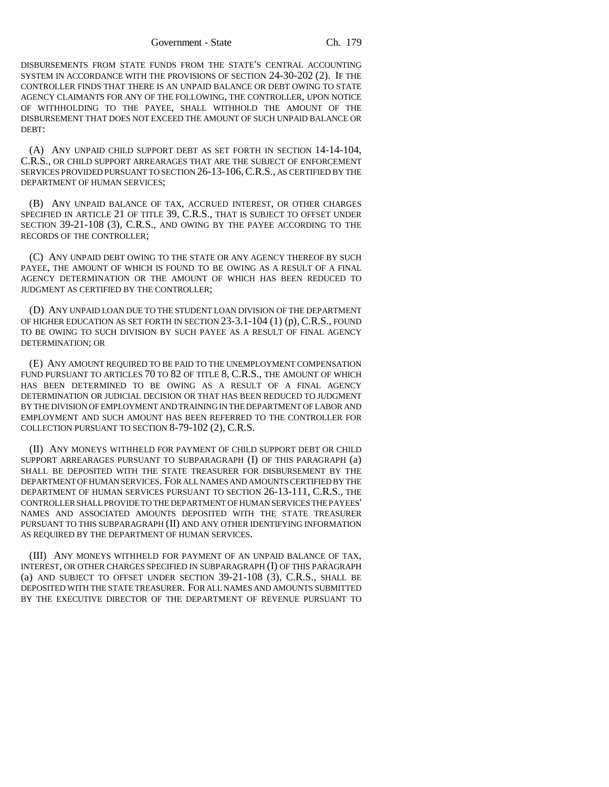Government - State Ch. 179

DISBURSEMENTS FROM STATE FUNDS FROM THE STATE'S CENTRAL ACCOUNTING SYSTEM IN ACCORDANCE WITH THE PROVISIONS OF SECTION 24-30-202 (2). IF THE CONTROLLER FINDS THAT THERE IS AN UNPAID BALANCE OR DEBT OWING TO STATE AGENCY CLAIMANTS FOR ANY OF THE FOLLOWING, THE CONTROLLER, UPON NOTICE OF WITHHOLDING TO THE PAYEE, SHALL WITHHOLD THE AMOUNT OF THE DISBURSEMENT THAT DOES NOT EXCEED THE AMOUNT OF SUCH UNPAID BALANCE OR DEBT:

(A) ANY UNPAID CHILD SUPPORT DEBT AS SET FORTH IN SECTION 14-14-104, C.R.S., OR CHILD SUPPORT ARREARAGES THAT ARE THE SUBJECT OF ENFORCEMENT SERVICES PROVIDED PURSUANT TO SECTION 26-13-106,C.R.S., AS CERTIFIED BY THE DEPARTMENT OF HUMAN SERVICES;

(B) ANY UNPAID BALANCE OF TAX, ACCRUED INTEREST, OR OTHER CHARGES SPECIFIED IN ARTICLE 21 OF TITLE 39, C.R.S., THAT IS SUBJECT TO OFFSET UNDER SECTION 39-21-108 (3), C.R.S., AND OWING BY THE PAYEE ACCORDING TO THE RECORDS OF THE CONTROLLER;

(C) ANY UNPAID DEBT OWING TO THE STATE OR ANY AGENCY THEREOF BY SUCH PAYEE, THE AMOUNT OF WHICH IS FOUND TO BE OWING AS A RESULT OF A FINAL AGENCY DETERMINATION OR THE AMOUNT OF WHICH HAS BEEN REDUCED TO JUDGMENT AS CERTIFIED BY THE CONTROLLER;

(D) ANY UNPAID LOAN DUE TO THE STUDENT LOAN DIVISION OF THE DEPARTMENT OF HIGHER EDUCATION AS SET FORTH IN SECTION 23-3.1-104 (1) (p), C.R.S., FOUND TO BE OWING TO SUCH DIVISION BY SUCH PAYEE AS A RESULT OF FINAL AGENCY DETERMINATION; OR

(E) ANY AMOUNT REQUIRED TO BE PAID TO THE UNEMPLOYMENT COMPENSATION FUND PURSUANT TO ARTICLES 70 TO 82 OF TITLE 8, C.R.S., THE AMOUNT OF WHICH HAS BEEN DETERMINED TO BE OWING AS A RESULT OF A FINAL AGENCY DETERMINATION OR JUDICIAL DECISION OR THAT HAS BEEN REDUCED TO JUDGMENT BY THE DIVISION OF EMPLOYMENT AND TRAINING IN THE DEPARTMENT OF LABOR AND EMPLOYMENT AND SUCH AMOUNT HAS BEEN REFERRED TO THE CONTROLLER FOR COLLECTION PURSUANT TO SECTION 8-79-102 (2), C.R.S.

(II) ANY MONEYS WITHHELD FOR PAYMENT OF CHILD SUPPORT DEBT OR CHILD SUPPORT ARREARAGES PURSUANT TO SUBPARAGRAPH (I) OF THIS PARAGRAPH (a) SHALL BE DEPOSITED WITH THE STATE TREASURER FOR DISBURSEMENT BY THE DEPARTMENT OF HUMAN SERVICES. FOR ALL NAMES AND AMOUNTS CERTIFIED BY THE DEPARTMENT OF HUMAN SERVICES PURSUANT TO SECTION 26-13-111, C.R.S., THE CONTROLLER SHALL PROVIDE TO THE DEPARTMENT OF HUMAN SERVICES THE PAYEES' NAMES AND ASSOCIATED AMOUNTS DEPOSITED WITH THE STATE TREASURER PURSUANT TO THIS SUBPARAGRAPH (II) AND ANY OTHER IDENTIFYING INFORMATION AS REQUIRED BY THE DEPARTMENT OF HUMAN SERVICES.

(III) ANY MONEYS WITHHELD FOR PAYMENT OF AN UNPAID BALANCE OF TAX, INTEREST, OR OTHER CHARGES SPECIFIED IN SUBPARAGRAPH (I) OF THIS PARAGRAPH (a) AND SUBJECT TO OFFSET UNDER SECTION 39-21-108 (3), C.R.S., SHALL BE DEPOSITED WITH THE STATE TREASURER. FOR ALL NAMES AND AMOUNTS SUBMITTED BY THE EXECUTIVE DIRECTOR OF THE DEPARTMENT OF REVENUE PURSUANT TO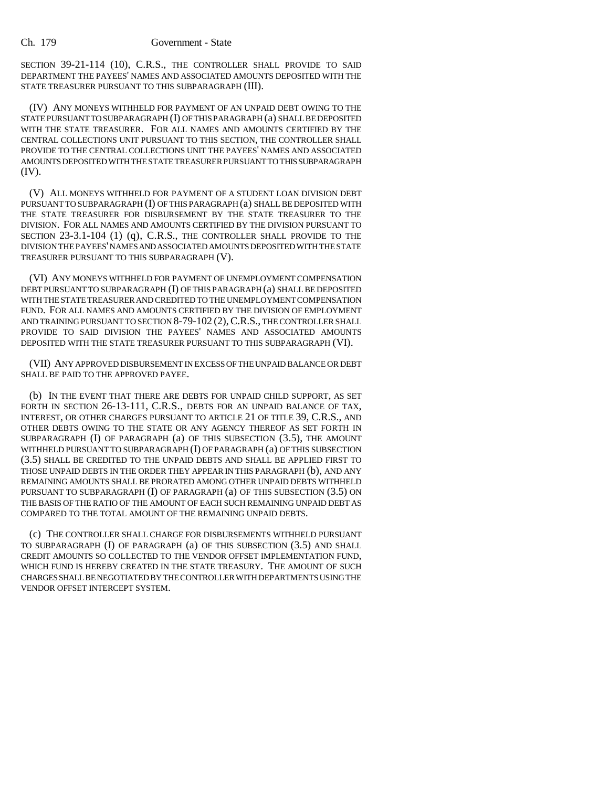SECTION 39-21-114 (10), C.R.S., THE CONTROLLER SHALL PROVIDE TO SAID DEPARTMENT THE PAYEES' NAMES AND ASSOCIATED AMOUNTS DEPOSITED WITH THE STATE TREASURER PURSUANT TO THIS SUBPARAGRAPH (III).

(IV) ANY MONEYS WITHHELD FOR PAYMENT OF AN UNPAID DEBT OWING TO THE STATE PURSUANT TO SUBPARAGRAPH (I) OF THIS PARAGRAPH (a) SHALL BE DEPOSITED WITH THE STATE TREASURER. FOR ALL NAMES AND AMOUNTS CERTIFIED BY THE CENTRAL COLLECTIONS UNIT PURSUANT TO THIS SECTION, THE CONTROLLER SHALL PROVIDE TO THE CENTRAL COLLECTIONS UNIT THE PAYEES' NAMES AND ASSOCIATED AMOUNTS DEPOSITED WITH THE STATE TREASURER PURSUANT TO THIS SUBPARAGRAPH (IV).

(V) ALL MONEYS WITHHELD FOR PAYMENT OF A STUDENT LOAN DIVISION DEBT PURSUANT TO SUBPARAGRAPH (I) OF THIS PARAGRAPH (a) SHALL BE DEPOSITED WITH THE STATE TREASURER FOR DISBURSEMENT BY THE STATE TREASURER TO THE DIVISION. FOR ALL NAMES AND AMOUNTS CERTIFIED BY THE DIVISION PURSUANT TO SECTION 23-3.1-104 (1) (q), C.R.S., THE CONTROLLER SHALL PROVIDE TO THE DIVISION THE PAYEES' NAMES AND ASSOCIATED AMOUNTS DEPOSITED WITH THE STATE TREASURER PURSUANT TO THIS SUBPARAGRAPH (V).

(VI) ANY MONEYS WITHHELD FOR PAYMENT OF UNEMPLOYMENT COMPENSATION DEBT PURSUANT TO SUBPARAGRAPH (I) OF THIS PARAGRAPH (a) SHALL BE DEPOSITED WITH THE STATE TREASURER AND CREDITED TO THE UNEMPLOYMENT COMPENSATION FUND. FOR ALL NAMES AND AMOUNTS CERTIFIED BY THE DIVISION OF EMPLOYMENT AND TRAINING PURSUANT TO SECTION 8-79-102 (2), C.R.S., THE CONTROLLER SHALL PROVIDE TO SAID DIVISION THE PAYEES' NAMES AND ASSOCIATED AMOUNTS DEPOSITED WITH THE STATE TREASURER PURSUANT TO THIS SUBPARAGRAPH (VI).

(VII) ANY APPROVED DISBURSEMENT IN EXCESS OF THE UNPAID BALANCE OR DEBT SHALL BE PAID TO THE APPROVED PAYEE.

(b) IN THE EVENT THAT THERE ARE DEBTS FOR UNPAID CHILD SUPPORT, AS SET FORTH IN SECTION 26-13-111, C.R.S., DEBTS FOR AN UNPAID BALANCE OF TAX, INTEREST, OR OTHER CHARGES PURSUANT TO ARTICLE 21 OF TITLE 39, C.R.S., AND OTHER DEBTS OWING TO THE STATE OR ANY AGENCY THEREOF AS SET FORTH IN SUBPARAGRAPH (I) OF PARAGRAPH (a) OF THIS SUBSECTION (3.5), THE AMOUNT WITHHELD PURSUANT TO SUBPARAGRAPH (I) OF PARAGRAPH (a) OF THIS SUBSECTION (3.5) SHALL BE CREDITED TO THE UNPAID DEBTS AND SHALL BE APPLIED FIRST TO THOSE UNPAID DEBTS IN THE ORDER THEY APPEAR IN THIS PARAGRAPH (b), AND ANY REMAINING AMOUNTS SHALL BE PRORATED AMONG OTHER UNPAID DEBTS WITHHELD PURSUANT TO SUBPARAGRAPH (I) OF PARAGRAPH (a) OF THIS SUBSECTION (3.5) ON THE BASIS OF THE RATIO OF THE AMOUNT OF EACH SUCH REMAINING UNPAID DEBT AS COMPARED TO THE TOTAL AMOUNT OF THE REMAINING UNPAID DEBTS.

(c) THE CONTROLLER SHALL CHARGE FOR DISBURSEMENTS WITHHELD PURSUANT TO SUBPARAGRAPH (I) OF PARAGRAPH (a) OF THIS SUBSECTION (3.5) AND SHALL CREDIT AMOUNTS SO COLLECTED TO THE VENDOR OFFSET IMPLEMENTATION FUND, WHICH FUND IS HEREBY CREATED IN THE STATE TREASURY. THE AMOUNT OF SUCH CHARGES SHALL BE NEGOTIATED BY THE CONTROLLER WITH DEPARTMENTS USING THE VENDOR OFFSET INTERCEPT SYSTEM.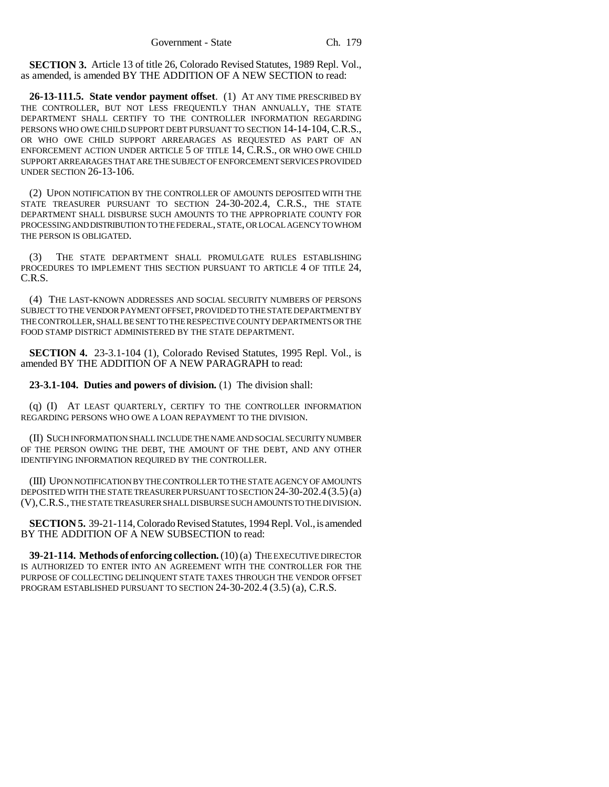**SECTION 3.** Article 13 of title 26, Colorado Revised Statutes, 1989 Repl. Vol., as amended, is amended BY THE ADDITION OF A NEW SECTION to read:

**26-13-111.5. State vendor payment offset**. (1) AT ANY TIME PRESCRIBED BY THE CONTROLLER, BUT NOT LESS FREQUENTLY THAN ANNUALLY, THE STATE DEPARTMENT SHALL CERTIFY TO THE CONTROLLER INFORMATION REGARDING PERSONS WHO OWE CHILD SUPPORT DEBT PURSUANT TO SECTION 14-14-104, C.R.S., OR WHO OWE CHILD SUPPORT ARREARAGES AS REQUESTED AS PART OF AN ENFORCEMENT ACTION UNDER ARTICLE 5 OF TITLE 14, C.R.S., OR WHO OWE CHILD SUPPORT ARREARAGES THAT ARE THE SUBJECT OF ENFORCEMENT SERVICES PROVIDED UNDER SECTION 26-13-106.

(2) UPON NOTIFICATION BY THE CONTROLLER OF AMOUNTS DEPOSITED WITH THE STATE TREASURER PURSUANT TO SECTION 24-30-202.4, C.R.S., THE STATE DEPARTMENT SHALL DISBURSE SUCH AMOUNTS TO THE APPROPRIATE COUNTY FOR PROCESSING AND DISTRIBUTION TO THE FEDERAL, STATE, OR LOCAL AGENCY TO WHOM THE PERSON IS OBLIGATED.

(3) THE STATE DEPARTMENT SHALL PROMULGATE RULES ESTABLISHING PROCEDURES TO IMPLEMENT THIS SECTION PURSUANT TO ARTICLE 4 OF TITLE 24, C.R.S.

(4) THE LAST-KNOWN ADDRESSES AND SOCIAL SECURITY NUMBERS OF PERSONS SUBJECT TO THE VENDOR PAYMENT OFFSET, PROVIDED TO THE STATE DEPARTMENT BY THE CONTROLLER, SHALL BE SENT TO THE RESPECTIVE COUNTY DEPARTMENTS OR THE FOOD STAMP DISTRICT ADMINISTERED BY THE STATE DEPARTMENT.

**SECTION 4.** 23-3.1-104 (1), Colorado Revised Statutes, 1995 Repl. Vol., is amended BY THE ADDITION OF A NEW PARAGRAPH to read:

**23-3.1-104. Duties and powers of division.** (1) The division shall:

(q) (I) AT LEAST QUARTERLY, CERTIFY TO THE CONTROLLER INFORMATION REGARDING PERSONS WHO OWE A LOAN REPAYMENT TO THE DIVISION.

(II) SUCH INFORMATION SHALL INCLUDE THE NAME AND SOCIAL SECURITY NUMBER OF THE PERSON OWING THE DEBT, THE AMOUNT OF THE DEBT, AND ANY OTHER IDENTIFYING INFORMATION REQUIRED BY THE CONTROLLER.

(III) UPON NOTIFICATION BY THE CONTROLLER TO THE STATE AGENCY OF AMOUNTS DEPOSITED WITH THE STATE TREASURER PURSUANT TO SECTION 24-30-202.4 (3.5)(a) (V),C.R.S., THE STATE TREASURER SHALL DISBURSE SUCH AMOUNTS TO THE DIVISION.

**SECTION 5.** 39-21-114, Colorado Revised Statutes, 1994 Repl. Vol., is amended BY THE ADDITION OF A NEW SUBSECTION to read:

**39-21-114. Methods of enforcing collection.** (10) (a) THE EXECUTIVE DIRECTOR IS AUTHORIZED TO ENTER INTO AN AGREEMENT WITH THE CONTROLLER FOR THE PURPOSE OF COLLECTING DELINQUENT STATE TAXES THROUGH THE VENDOR OFFSET PROGRAM ESTABLISHED PURSUANT TO SECTION 24-30-202.4 (3.5) (a), C.R.S.